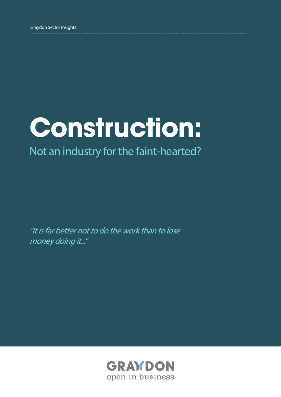# **Construction:**

## Not an industry for the faint-hearted?

"It is far better not to do the work than to lose money doing it..."

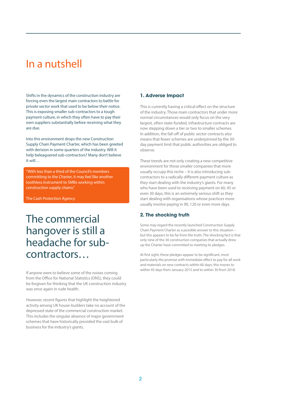### In a nutshell

Shifts in the dynamics of the construction industry are forcing even the largest main contractors to battle for private sector work that used to be below their notice. This is exposing smaller sub-contractors to a tough payment culture, in which they often have to pay their own suppliers substantially before receiving what they are due.

Into this environment drops the new Construction Supply Chain Payment Charter, which has been greeted with derision in some quarters of the industry. Will it help beleaguered sub-contractors? Many don't believe it will…

"With less than a third of the Council's members committing to the Charter, it may feel like another toothless instrument to SMBs working within construction supply chains."

The Cash Protection Agency

### The commercial hangover is still a headache for subcontractors…

If anyone were to believe some of the noises coming from the Office for National Statistics (ONS), they could be forgiven for thinking that the UK construction industry was once again in rude health.

However, recent figures that highlight the heightened activity among UK house-builders take no account of the depressed state of the commercial construction market. This includes the singular absence of major government schemes that have historically provided the vast bulk of business for the industry's giants.

#### **1. Adverse Impact**

This is currently having a critical effect on the structure of the industry. Those main contractors that under more normal circumstances would only focus on the very largest, often state-funded, infrastructure contracts are now stepping down a tier or two to smaller schemes. In addition, the fall-off of public sector contracts also means that fewer schemes are underpinned by the 30 day payment limit that public authorities are obliged to observe.

These trends are not only creating a new competitive environment for those smaller companies that more usually occupy this niche – it is also introducing subcontractors to a radically different payment culture as they start dealing with the industry's giants. For many who have been used to receiving payment on 60, 45 or even 30 days, this is an extremely serious shift as they start dealing with organisations whose practices more usually involve paying in 90, 120 or even more days.

#### **2. The shocking truth**

Some may regard the recently launched Construction Supply Chain Payment Charter as a possible answer to this situation – but this appears to be far from the truth. The shocking fact is that only nine of the 30 construction companies that actually drew up the Charter have committed to meeting its pledges.

At first sight, these pledges appear to be significant, most particularly the promise with immediate effect to pay for all work and materials on new contracts within 60 days; this moves to within 45 days from January 2015 and to within 30 from 2018.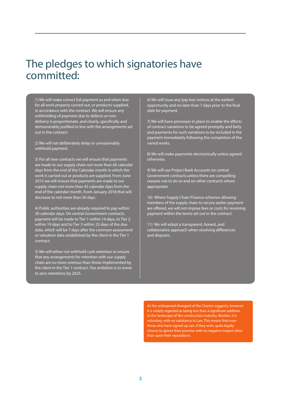### The pledges to which signatories have committed:

1) We will make correct full payment as and when due for all work properly carried out, or products supplied, in accordance with the contract. We will ensure any withholding of payment due to defects or nondelivery is proportionate, and clearly, specifically and demonstrably justified in line with the arrangements set out in the contract.

2) We will not deliberately delay or unreasonably withhold payment.

3) For all new contracts we will ensure that payments are made to our supply chain not more than 60 calendar days from the end of the Calendar month in which the work is carried out or products are supplied. From June 2015 we will ensure that payments are made to our supply chain not more than 45 calendar days from the end of the calendar month. From January 2018 that will decrease to not more than 30 days.

4) Public authorities are already required to pay within 30 calendar days. On central Government contracts, payment will be made to Tier 1 within 14 days, to Tier 2 within 19 days and to Tier 3 within 23 days of the due date, which will be 7 days after the common assessment or valuation date established by the client in the Tier 1 contract.

5) We will either not withhold cash retention or ensure that any arrangements for retention with our supply chain are no more onerous than those implemented by the client in the Tier 1 contract. Our ambition is to move to zero retentions by 2025.

6) We will issue any 'pay less' notices at the earliest opportunity and no later than 7 days prior to the final date for payment.

7) We will have processes in place to enable the effects of contract variations to be agreed promptly and fairly and payments for such variations to be included in the payment immediately following the completion of the varied works.

8) We will make payments electronically unless agreed otherwise.

9) We will use Project Bank Accounts on central Government contracts unless there are compelling reasons not to do so and on other contracts where appropriate.

10) Where Supply Chain Finance schemes allowing members of the supply chain to secure earlier payment are offered, we will not impose fees or costs for receiving payment within the terms set out in the contract.

11) We will adopt a transparent, honest, and collaborative approach when resolving differences and disputes.

As the widespread disregard of the Charter suggests, however, it is widely regarded as being less than a significant addition to the landscape of the construction industry. Besides, it is voluntary, with no substance in Law. This means that even those who have signed up can, if they wish, quite legally choose to ignore their promise with no negative impact other than upon their reputations.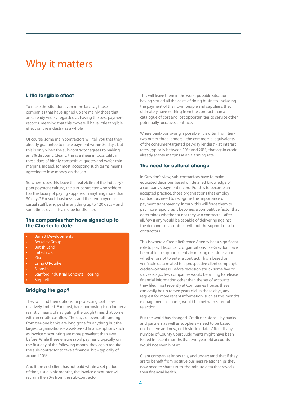### Why it matters

#### **Little tangible effect**

To make the situation even more farcical, those companies that have signed up are mainly those that are already widely regarded as having the best payment records, meaning that this move will have little tangible effect on the industry as a whole.

Of course, some main contractors will tell you that they already guarantee to make payment within 30 days, but this is only when the sub-contractor agrees to making an 8% discount. Clearly, this is a sheer impossibility in these days of highly competitive quotes and wafer-thin margins. Indeed, for most, accepting such terms means agreeing to lose money on the job.

So where does this leave the real victim of the industry's poor payment culture, the sub-contractor who seldom has the luxury of paying suppliers in anything more than 30 days? For such businesses and their employed or casual staff being paid in anything up to 120 days – and sometimes over – is a recipe for disaster.

#### **The companies that have signed up to the Charter to date:**

- Barratt Developments
- **Berkeley Group**
- British Land
- Imtech UK
- Kier
- Laing O'Rourke
- Skanska
- Stanford Industrial Concrete Flooring
- **Stepnell**

#### **Bridging the gap?**

They will find their options for protecting cash flow relatively limited. For most, bank borrowing is no longer a realistic means of navigating the tough times that come with an erratic cashflow. The days of overdraft funding from tier-one banks are long gone for anything but the largest organisations – asset-based finance options such as invoice discounting are more prevalent than ever before. While these ensure rapid payment, typically on the first day of the following month, they again require the sub-contractor to take a financial hit – typically of around 10%.

And if the end-client has not paid within a set period of time, usually six months, the invoice discounter will reclaim the 90% from the sub-contractor.

This will leave them in the worst possible situation – having settled all the costs of doing business, including the payment of their own people and suppliers, they ultimately have nothing from the contract than a catalogue of cost and lost opportunities to service other, potentially lucrative, contracts.

Where bank-borrowing is possible, it is often from tiertwo or tier-three lenders – the commercial equivalents of the consumer-targeted 'pay-day lenders' – at interest rates (typically between 10% and 20%) that again erode already scanty margins at an alarming rate.

#### **The need for cultural change**

In Graydon's view, sub-contractors have to make educated decisions based on detailed knowledge of a company's payment record. For this to become an accepted practice, those organisations that employ contractors need to recognise the importance of payment transparency. In turn, this will force them to pay more rapidly, as it becomes a competitive factor that determines whether or not they win contracts – after all, few if any would be capable of delivering against the demands of a contract without the support of subcontractors.

This is where a Credit Reference Agency has a significant role to play. Historically, organisations like Graydon have been able to support clients in making decisions about whether or not to enter a contract. This is based on verifiable data related to a prospective client company's credit-worthiness. Before recession struck some five or six years ago, few companies would be willing to release financial information other than the set of accounts they filed most recently at Companies House; these can easily be up to two years old. In those days, any request for more recent information, such as this month's management accounts, would be met with scornful rejection.

But the world has changed. Credit decisions – by banks and partners as well as suppliers – need to be based on the here and now, not historical data. After all, any number of County Court Judgments might have been issued in recent months that two-year-old accounts would not even hint at.

Client companies know this, and understand that if they are to benefit from positive business relationships they now need to share up-to-the-minute data that reveals their financial health.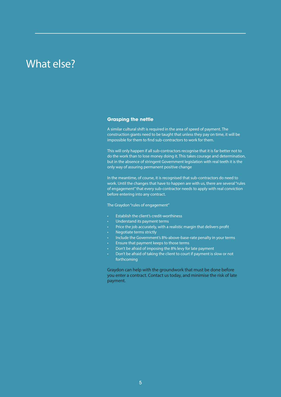### What else?

#### **Grasping the nettle**

A similar cultural shift is required in the area of speed of payment. The construction giants need to be taught that unless they pay on time, it will be impossible for them to find sub-contractors to work for them.

This will only happen if all sub-contractors recognise that it is far better not to do the work than to lose money doing it. This takes courage and determination, but in the absence of stringent Government legislation with real teeth it is the only way of assuring permanent positive change

In the meantime, of course, it is recognised that sub-contractors do need to work. Until the changes that have to happen are with us, there are several "rules of engagement" that every sub-contractor needs to apply with real conviction before entering into any contract.

The Graydon "rules of engagement"

- Establish the client's credit-worthiness
- Understand its payment terms
- Price the job accurately, with a realistic margin that delivers profit
- Negotiate terms strictly
- Include the Government's 8%-above-base-rate penalty in your terms
- Ensure that payment keeps to those terms
- Don't be afraid of imposing the 8% levy for late payment
- Don't be afraid of taking the client to court if payment is slow or not forthcoming

Graydon can help with the groundwork that must be done before you enter a contract. Contact us today, and minimise the risk of late payment.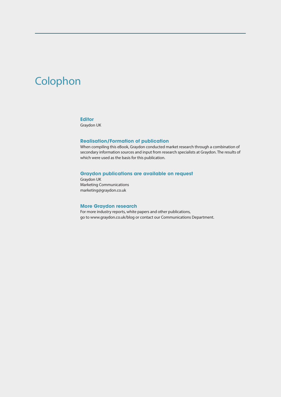### Colophon

#### **Editor**

Graydon UK

#### **Realisation/Formation of publication**

When compiling this eBook, Graydon conducted market research through a combination of secondary information sources and input from research specialists at Graydon. The results of which were used as the basis for this publication.

#### **Graydon publications are available on request**

Graydon UK Marketing Communications marketing@graydon.co.uk

#### **More Graydon research**

For more industry reports, white papers and other publications, go to www.graydon.co.uk/blog or contact our Communications Department.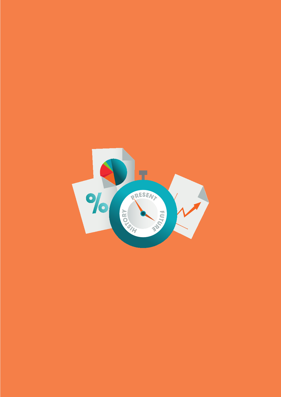